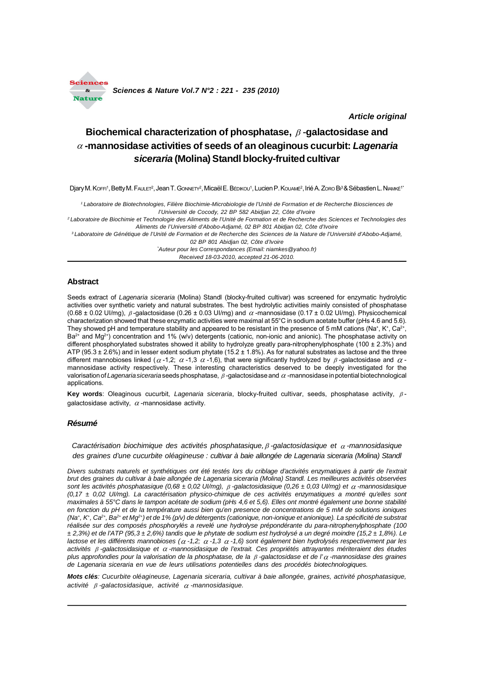

*Article original*

# Biochemical characterization of phosphatase,  $\beta$ -galactosidase and **-mannosidase activities of seeds of an oleaginous cucurbit:** *Lagenaria siceraria* **(Molina) Standl blocky-fruited cultivar**

Djary M. Коғғі<sup>1</sup>, Betty M. FA∪LET<sup>2</sup>, Jean T. GonnEтү<sup>2</sup>, Micaël E. Bє́ріко∪1, Lucien P. Ko∪Aмє́<sup>2</sup>, Irié A. Zoro Bı<sup>3</sup>& Sébastien L. Niлмкє́1'

*1 Laboratoire de Biotechnologies, Filière Biochimie-Microbiologie de l'Unité de Formation et de Recherche Biosciences de l'Université de Cocody, 22 BP 582 Abidjan 22, Côte d'Ivoire*

*2 Laboratoire de Biochimie et Technologie des Aliments de l'Unité de Formation et de Recherche des Sciences et Technologies des Aliments de l'Université d'Abobo-Adjamé, 02 BP 801 Abidjan 02, Côte d'Ivoire*

*3 Laboratoire de Génétique de l'Unité de Formation et de Recherche des Sciences de la Nature de l'Université d'Abobo-Adjamé, 02 BP 801 Abidjan 02, Côte d'Ivoire*

*\* Auteur pour les Correspondances (Email: niamkes@yahoo.fr)*

*Received 18-03-2010, accepted 21-06-2010.*

## **Abstract**

Seeds extract of *Lagenaria siceraria* (Molina) Standl (blocky-fruited cultivar) was screened for enzymatic hydrolytic activities over synthetic variety and natural substrates. The best hydrolytic activities mainly consisted of phosphatase  $(0.68 \pm 0.02 \text{ U/m}$ g),  $\beta$ -galactosidase (0.26  $\pm$  0.03 UI/mg) and  $\alpha$ -mannosidase (0.17  $\pm$  0.02 UI/mg). Physicochemical characterization showed that these enzymatic activities were maximal at 55°C in sodium acetate buffer (pHs 4.6 and 5.6). They showed pH and temperature stability and appeared to be resistant in the presence of 5 mM cations (Na+, K+, Ca<sup>2+</sup>,  $Ba^{2+}$  and Mg<sup>2+</sup>) concentration and 1% (w/v) detergents (cationic, non-ionic and anionic). The phosphatase activity on different phosphorylated substrates showed it ability to hydrolyze greatly para-nitrophenylphosphate (100 ± 2.3%) and ATP (95.3 ± 2.6%) and in lesser extent sodium phytate (15.2 ± 1.8%). As for natural substrates as lactose and the three different mannobioses linked ( $\alpha$ -1,2;  $\alpha$ -1,3  $\alpha$ -1,6), that were significantly hydrolyzed by  $\beta$ -galactosidase and  $\alpha$ mannosidase activity respectively. These interesting characteristics deserved to be deeply investigated for the valorisation of *Lagenaria siceraria* seeds phosphatase,  $\beta$ -galactosidase and  $\alpha$ -mannosidase in potential biotechnological applications.

Key words: Oleaginous cucurbit, *Lagenaria siceraria*, blocky-fruited cultivar, seeds, phosphatase activity,  $\beta$ galactosidase activity,  $\alpha$ -mannosidase activity.

## *Résumé*

*Caractérisation biochimique des activités phosphatasique, -galactosidasique et -mannosidasique des graines d'une cucurbite oléagineuse : cultivar à baie allongée de Lagenaria siceraria (Molina) Standl*

*Divers substrats naturels et synthétiques ont été testés lors du criblage d'activités enzymatiques à partir de l'extrait brut des graines du cultivar à baie allongée de Lagenaria siceraria (Molina) Standl. Les meilleures activités observées sont les activités phosphatasique (0,68 ± 0,02 UI/mg), -galactosidasique (0,26 ± 0,03 UI/mg) et -mannosidasique (0,17 ± 0,02 UI/mg). La caractérisation physico-chimique de ces activités enzymatiques a montré qu'elles sont maximales à 55°C dans le tampon acétate de sodium (pHs 4,6 et 5,6). Elles ont montré également une bonne stabilité en fonction du pH et de la température aussi bien qu'en presence de concentrations de 5 mM de solutions ioniques (Na+, K+, Ca2+, Ba2+ et Mg2+) et de 1% (p/v) de détergents (cationique, non-ionique et anionique). La spécificité de substrat réalisée sur des composés phosphorylés a revelé une hydrolyse prépondérante du para-nitrophenylphosphate (100 ± 2,3%) et de l'ATP (95,3 ± 2,6%) tandis que le phytate de sodium est hydrolysé a un degré moindre (15,2 ± 1,8%). Le lactose et les différents mannobioses ( -1,2; -1,3 -1,6) sont également bien hydrolysés respectivement par les activités -galactosidasique et -mannosidasique de l'extrait. Ces propriétés attrayantes mériteraient des études plus approfondies pour la valorisation de la phosphatase, de la -galactosidase et de l' -mannosidase des graines de Lagenaria siceraria en vue de leurs utilisations potentielles dans des procédés biotechnologiques.*

*Mots clés: Cucurbite oléagineuse, Lagenaria siceraria, cultivar à baie allongée, graines, activité phosphatasique, activité -galactosidasique, activité -mannosidasique.*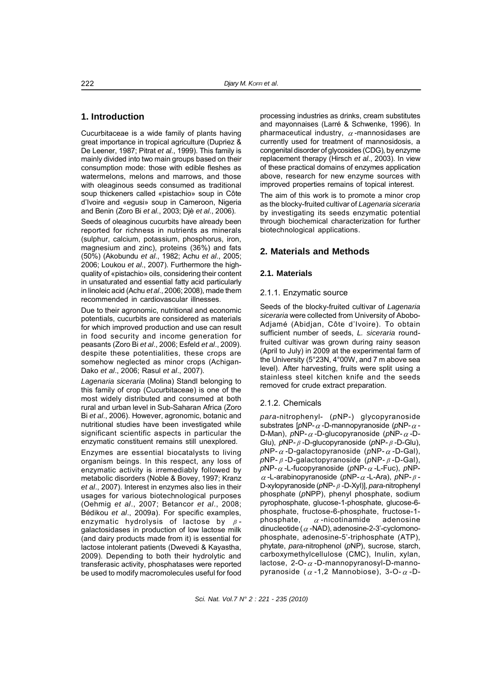# **1. Introduction**

Cucurbitaceae is a wide family of plants having great importance in tropical agriculture (Dupriez & De Leener, 1987; Pitrat *et al*., 1999). This family is mainly divided into two main groups based on their consumption mode: those with edible fleshes as watermelons, melons and marrows, and those with oleaginous seeds consumed as traditional soup thickeners called «pistachio» soup in Côte d'Ivoire and «egusi» soup in Cameroon, Nigeria and Benin (Zoro Bi *et al*., 2003; Djè *et al*., 2006).

Seeds of oleaginous cucurbits have already been reported for richness in nutrients as minerals (sulphur, calcium, potassium, phosphorus, iron, magnesium and zinc), proteins (36%) and fats (50%) (Akobundu *et al*., 1982; Achu *et al*., 2005; 2006; Loukou *et al*., 2007). Furthermore the highquality of «pistachio» oils, considering their content in unsaturated and essential fatty acid particularly in linoleic acid (Achu *et al*., 2006; 2008), made them recommended in cardiovascular illnesses.

Due to their agronomic, nutritional and economic potentials, cucurbits are considered as materials for which improved production and use can result in food security and income generation for peasants (Zoro Bi *et al*., 2006; Esfeld *et al*., 2009). despite these potentialities, these crops are somehow neglected as minor crops (Achigan-Dako *et al*., 2006; Rasul *et al*., 2007).

*Lagenaria siceraria* (Molina) Standl belonging to this family of crop (Cucurbitaceae) is one of the most widely distributed and consumed at both rural and urban level in Sub-Saharan Africa (Zoro Bi *et al*., 2006). However, agronomic, botanic and nutritional studies have been investigated while significant scientific aspects in particular the enzymatic constituent remains still unexplored.

Enzymes are essential biocatalysts to living organism beings. In this respect, any loss of enzymatic activity is irremediably followed by metabolic disorders (Noble & Bovey, 1997; Kranz *et al*., 2007). Interest in enzymes also lies in their usages for various biotechnological purposes (Oehmig *et al*., 2007; Betancor *et al*., 2008; Bédikou *et al*., 2009a). For specific examples, enzymatic hydrolysis of lactose by  $\beta$ galactosidases in production of low lactose milk (and dairy products made from it) is essential for lactose intolerant patients (Dwevedi & Kayastha, 2009). Depending to both their hydrolytic and transferasic activity, phosphatases were reported be used to modify macromolecules useful for food processing industries as drinks, cream substitutes and mayonnaises (Larré & Schwenke, 1996). In pharmaceutical industry,  $\alpha$ -mannosidases are currently used for treatment of mannosidosis, a congenital disorder of glycosides (CDG), by enzyme replacement therapy (Hirsch *et al*., 2003). In view of these practical domains of enzymes application above, research for new enzyme sources with improved properties remains of topical interest. The aim of this work is to promote a minor crop

as the blocky-fruited cultivar of *Lagenaria siceraria* by investigating its seeds enzymatic potential through biochemical characterization for further biotechnological applications.

# **2. Materials and Methods**

## **2.1. Materials**

## 2.1.1. Enzymatic source

Seeds of the blocky-fruited cultivar of *Lagenaria siceraria* were collected from University of Abobo-Adjamé (Abidjan, Côte d'Ivoire). To obtain sufficient number of seeds, *L. siceraria* roundfruited cultivar was grown during rainy season (April to July) in 2009 at the experimental farm of the University (5°23N, 4°00W, and 7 m above sea level). After harvesting, fruits were split using a stainless steel kitchen knife and the seeds removed for crude extract preparation.

# 2.1.2. Chemicals

*para*-nitrophenyl- (*p*NP-) glycopyranoside substrates  $[pNP - \alpha - D$ -mannopyranoside ( $pNP - \alpha$ -D-Man),  $pNP - \alpha -D$ -glucopyranoside ( $pNP - \alpha -D$ -Glu), *p*NP-*β*-D-glucopyranoside (*p*NP-*β*-D-Glu),  $pNP - \alpha -D$ -galactopyranoside ( $pNP - \alpha -D$ -Gal). *p*NP- *β* -D-galactopyranoside (*p*NP- *β* -D-Gal),  $pNP - \alpha$ -L-fucopyranoside ( $pNP - \alpha$ -L-Fuc),  $pNP - \alpha$  $\alpha$ -L-arabinopyranoside ( $\rho$ NP- $\alpha$ -L-Ara),  $\rho$ NP- $\beta$ -D-xylopyranoside (*p*NP-  $\beta$ -D-Xyl)], *para*-nitrophenyl phosphate (*p*NPP), phenyl phosphate, sodium pyrophosphate, glucose-1-phosphate, glucose-6 phosphate, fructose-6-phosphate, fructose-1 phosphate,  $\alpha$ -nicotinamide adenosine dinucleotide ( $\alpha$ -NAD), adenosine-2-3'-cyclomonophosphate, adenosine-5'-triphosphate (ATP), phytate, *para*-nitrophenol (*p*NP), sucrose, starch, carboxymethylcellulose (CMC), Inulin, xylan, lactose,  $2$ -O- $\alpha$ -D-mannopyranosyl-D-mannopyranoside ( $\alpha$ -1,2 Mannobiose), 3-O- $\alpha$ -D-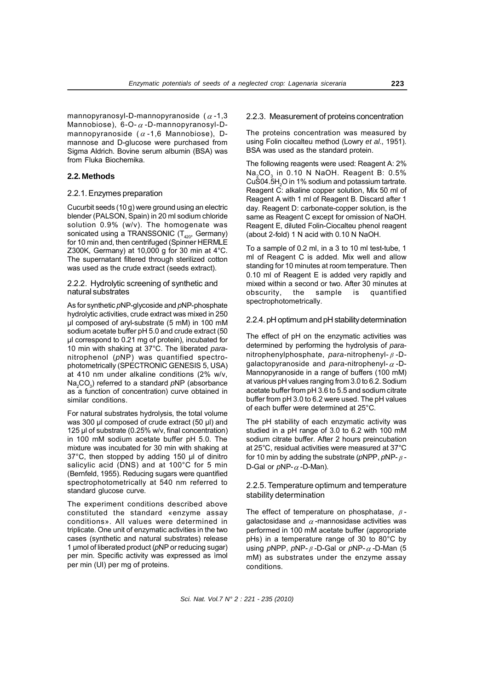mannopyranosyl-D-mannopyranoside ( $\alpha$ -1,3 Mannobiose),  $6$ -O- $\alpha$ -D-mannopyranosyl-Dmannopyranoside ( $\alpha$ -1,6 Mannobiose), Dmannose and D-glucose were purchased from Sigma Aldrich. Bovine serum albumin (BSA) was from Fluka Biochemika.

## **2.2. Methods**

## 2.2.1. Enzymes preparation

Cucurbit seeds (10 g) were ground using an electric blender (PALSON, Spain) in 20 ml sodium chloride solution 0.9% (w/v). The homogenate was sonicated using a TRANSSONIC  $(T_{420}, G$  Germany) for 10 min and, then centrifuged (Spinner HERMLE Z300K, Germany) at 10,000 g for 30 min at 4°C. The supernatant filtered through sterilized cotton was used as the crude extract (seeds extract).

#### 2.2.2. Hydrolytic screening of synthetic and natural substrates

As for synthetic *p*NP-glycoside and *p*NP-phosphate hydrolytic activities, crude extract was mixed in 250 µl composed of aryl-substrate (5 mM) in 100 mM sodium acetate buffer pH 5.0 and crude extract (50 µl correspond to 0.21 mg of protein), incubated for 10 min with shaking at 37°C. The liberated *para*nitrophenol (*p*NP) was quantified spectrophotometrically (SPECTRONIC GENESIS 5, USA) at 410 nm under alkaline conditions (2% w/v, Na<sub>2</sub>CO<sub>3</sub>) referred to a standard *p*NP (absorbance as a function of concentration) curve obtained in similar conditions.

For natural substrates hydrolysis, the total volume was 300 µl composed of crude extract (50 µl) and 125 µl of substrate (0.25% w/v, final concentration) in 100 mM sodium acetate buffer pH 5.0. The mixture was incubated for 30 min with shaking at 37°C, then stopped by adding 150 µl of dinitro salicylic acid (DNS) and at 100°C for 5 min (Bernfeld, 1955). Reducing sugars were quantified spectrophotometrically at 540 nm referred to standard glucose curve.

The experiment conditions described above constituted the standard «enzyme assay conditions». All values were determined in triplicate. One unit of enzymatic activities in the two cases (synthetic and natural substrates) release 1 µmol of liberated product (*p*NP or reducing sugar) per min. Specific activity was expressed as ìmol per min (UI) per mg of proteins.

#### 2.2.3. Measurement of proteins concentration

The proteins concentration was measured by using Folin ciocalteu method (Lowry *et al*., 1951). BSA was used as the standard protein.

The following reagents were used: Reagent A: 2% Na<sub>2</sub>CO<sub>2</sub> in 0.10 N NaOH. Reagent B: 0.5%  $CuS04.5H<sub>2</sub>O$  in 1% sodium and potassium tartrate. Reagent C: alkaline copper solution, Mix 50 ml of Reagent A with 1 ml of Reagent B. Discard after 1 day. Reagent D: carbonate-copper solution, is the same as Reagent C except for omission of NaOH. Reagent E, diluted Folin-Ciocalteu phenol reagent (about 2-fold) 1 N acid with 0.10 N NaOH.

To a sample of 0.2 ml, in a 3 to 10 ml test-tube, 1 ml of Reagent C is added. Mix well and allow standing for 10 minutes at room temperature. Then 0.10 ml of Reagent E is added very rapidly and mixed within a second or two. After 30 minutes at obscurity, the sample is quantified spectrophotometrically.

#### 2.2.4. pH optimum and pH stability determination

The effect of pH on the enzymatic activities was determined by performing the hydrolysis of *para*nitrophenylphosphate, *para*-nitrophenyl- -Dgalactopyranoside and *para*-nitrophenyl- $\alpha$ -D-Mannopyranoside in a range of buffers (100 mM) at various pH values ranging from 3.0 to 6.2. Sodium acetate buffer from pH 3.6 to 5.5 and sodium citrate buffer from pH 3.0 to 6.2 were used. The pH values of each buffer were determined at 25°C.

The pH stability of each enzymatic activity was studied in a pH range of 3.0 to 6.2 with 100 mM sodium citrate buffer. After 2 hours preincubation at 25°C, residual activities were measured at 37°C for 10 min by adding the substrate ( $\rho$ NPP,  $\rho$ NP- $\beta$ -D-Gal or  $pNP - \alpha - D$ -Man).

## 2.2.5. Temperature optimum and temperature stability determination

The effect of temperature on phosphatase,  $\beta$ galactosidase and  $\alpha$ -mannosidase activities was performed in 100 mM acetate buffer (appropriate pHs) in a temperature range of 30 to 80°C by using  $pNPP$ ,  $pNP - \beta - D-Gal$  or  $pNP - \alpha - D-Man$  (5 mM) as substrates under the enzyme assay conditions.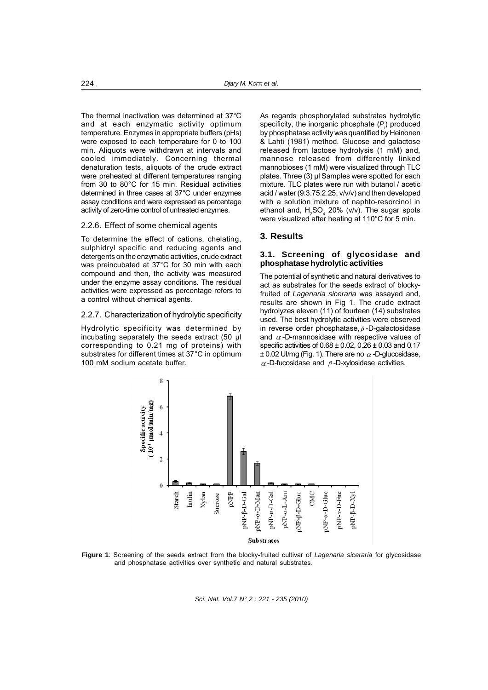The thermal inactivation was determined at 37°C and at each enzymatic activity optimum temperature. Enzymes in appropriate buffers (pHs) were exposed to each temperature for 0 to 100 min. Aliquots were withdrawn at intervals and cooled immediately. Concerning thermal denaturation tests, aliquots of the crude extract were preheated at different temperatures ranging from 30 to 80°C for 15 min. Residual activities determined in three cases at 37°C under enzymes assay conditions and were expressed as percentage activity of zero-time control of untreated enzymes.

#### 2.2.6. Effect of some chemical agents

To determine the effect of cations, chelating, sulphidryl specific and reducing agents and detergents on the enzymatic activities, crude extract was preincubated at 37°C for 30 min with each compound and then, the activity was measured under the enzyme assay conditions. The residual activities were expressed as percentage refers to a control without chemical agents.

#### 2.2.7. Characterization of hydrolytic specificity

Hydrolytic specificity was determined by incubating separately the seeds extract (50 µl corresponding to 0.21 mg of proteins) with substrates for different times at 37°C in optimum 100 mM sodium acetate buffer.

As regards phosphorylated substrates hydrolytic specificity, the inorganic phosphate  $(P_i)$  produced by phosphatase activity was quantified by Heinonen & Lahti (1981) method. Glucose and galactose released from lactose hydrolysis (1 mM) and, mannose released from differently linked mannobioses (1 mM) were visualized through TLC plates. Three (3) µl Samples were spotted for each mixture. TLC plates were run with butanol / acetic acid / water (9:3.75:2.25, v/v/v) and then developed with a solution mixture of naphto-resorcinol in ethanol and,  $H_2SO_4$  20% (v/v). The sugar spots were visualized after heating at 110°C for 5 min.

## **3. Results**

#### **3.1. Screening of glycosidase and phosphatase hydrolytic activities**

The potential of synthetic and natural derivatives to act as substrates for the seeds extract of blockyfruited of *Lagenaria siceraria* was assayed and, results are shown in Fig 1. The crude extract hydrolyzes eleven (11) of fourteen (14) substrates used. The best hydrolytic activities were observed in reverse order phosphatase,  $\beta$ -D-galactosidase and  $\alpha$ -D-mannosidase with respective values of specific activities of 0.68 ± 0.02, 0.26 ± 0.03 and 0.17  $\pm$  0.02 UI/mg (Fig. 1). There are no  $\alpha$ -D-glucosidase,  $\alpha$ -D-fucosidase and  $\beta$ -D-xylosidase activities.



**Figure 1**: Screening of the seeds extract from the blocky-fruited cultivar of *Lagenaria siceraria* for glycosidase and phosphatase activities over synthetic and natural substrates.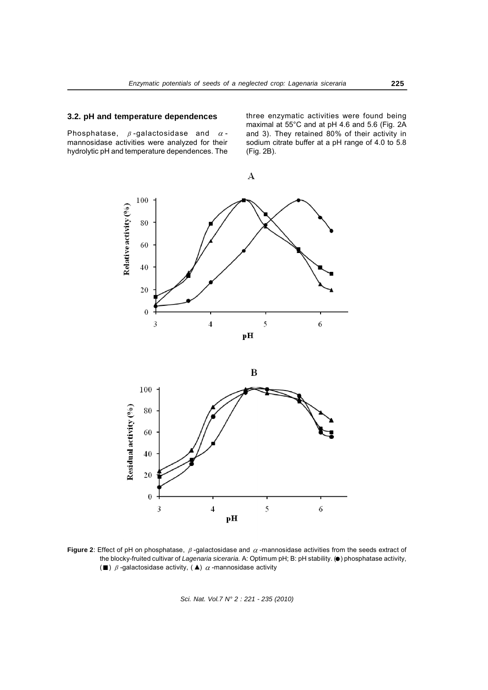# **3.2. pH and temperature dependences**

Phosphatase,  $\beta$ -galactosidase and  $\alpha$ mannosidase activities were analyzed for their hydrolytic pH and temperature dependences. The three enzymatic activities were found being maximal at 55°C and at pH 4.6 and 5.6 (Fig. 2A and 3). They retained 80% of their activity in sodium citrate buffer at a pH range of 4.0 to 5.8 (Fig. 2B).



**Figure 2**: Effect of pH on phosphatase,  $\beta$ -galactosidase and  $\alpha$ -mannosidase activities from the seeds extract of the blocky-fruited cultivar of *Lagenaria siceraria.* A: Optimum pH; B: pH stability. ( $\bullet$ ) phosphatase activity, ( $\blacksquare$ )  $\beta$  -galactosidase activity, ( $\blacktriangle$ )  $\alpha$  -mannosidase activity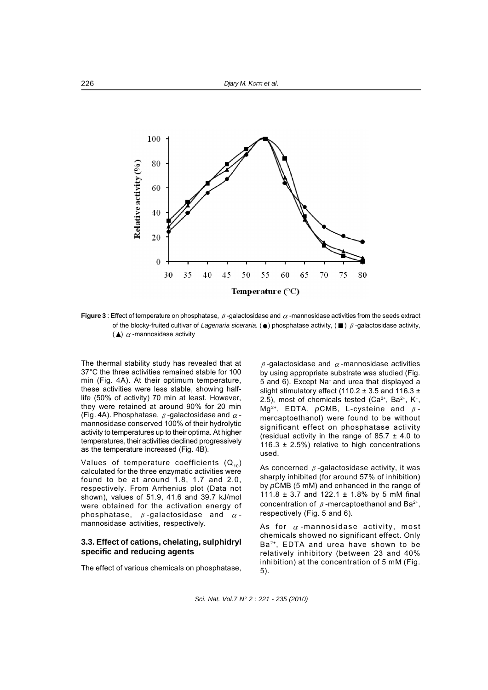

**Figure 3** : Effect of temperature on phosphatase,  $\beta$ -galactosidase and  $\alpha$ -mannosidase activities from the seeds extract of the blocky-fruited cultivar of *Lagenaria siceraria*. ( $\bullet$ ) phosphatase activity, ( $\blacksquare$ )  $\beta$ -galactosidase activity,  $($   $\blacktriangle)$   $\alpha$  -mannosidase activity

The thermal stability study has revealed that at 37°C the three activities remained stable for 100 min (Fig. 4A). At their optimum temperature, these activities were less stable, showing halflife (50% of activity) 70 min at least. However, they were retained at around 90% for 20 min (Fig. 4A). Phosphatase,  $\beta$ -galactosidase and  $\alpha$ mannosidase conserved 100% of their hydrolytic activity to temperatures up to their optima. At higher temperatures, their activities declined progressively as the temperature increased (Fig. 4B).

Values of temperature coefficients  $(Q_{10})$ calculated for the three enzymatic activities were found to be at around 1.8, 1.7 and 2.0, respectively. From Arrhenius plot (Data not shown), values of 51.9, 41.6 and 39.7 kJ/mol were obtained for the activation energy of phosphatase,  $\beta$ -galactosidase and  $\alpha$ mannosidase activities, respectively.

## **3.3. Effect of cations, chelating, sulphidryl specific and reducing agents**

The effect of various chemicals on phosphatase,

 $\beta$ -galactosidase and  $\alpha$ -mannosidase activities by using appropriate substrate was studied (Fig. 5 and 6). Except Na+ and urea that displayed a slight stimulatory effect (110.2  $\pm$  3.5 and 116.3  $\pm$ 2.5), most of chemicals tested  $(Ca^{2+}, Ba^{2+}, K^+,$ Mg<sup>2+</sup>, EDTA,  $pCMB$ , L-cysteine and  $\beta$ mercaptoethanol) were found to be without significant effect on phosphatase activity (residual activity in the range of 85.7  $\pm$  4.0 to 116.3  $\pm$  2.5%) relative to high concentrations used.

As concerned  $\beta$ -galactosidase activity, it was sharply inhibited (for around 57% of inhibition) by *p*CMB (5 mM) and enhanced in the range of 111.8  $\pm$  3.7 and 122.1  $\pm$  1.8% by 5 mM final concentration of  $\beta$ -mercaptoethanol and Ba<sup>2+</sup>, respectively (Fig. 5 and 6).

As for  $\alpha$ -mannosidase activity, most chemicals showed no significant effect. Only Ba2+, EDTA and urea have shown to be relatively inhibitory (between 23 and 40% inhibition) at the concentration of 5 mM (Fig. 5).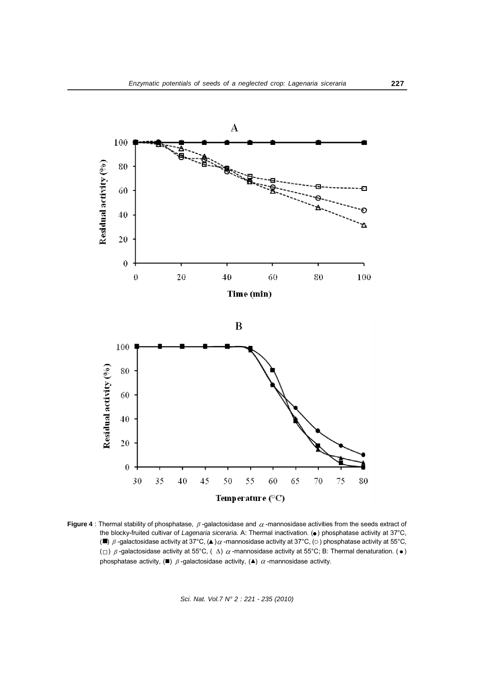

**Figure 4** : Thermal stability of phosphatase,  $\beta$ -galactosidase and  $\alpha$ -mannosidase activities from the seeds extract of the blocky-fruited cultivar of *Lagenaria siceraria*. A: Thermal inactivation. ( $\bullet$ ) phosphatase activity at 37°C, ( $\blacksquare$ )  $\beta$  -galactosidase activity at 37°C, ( $\blacktriangle$ ) $\alpha$  -mannosidase activity at 37°C, ( $\circ$ ) phosphatase activity at 55°C,  $(\Box)$   $\beta$ -galactosidase activity at 55°C, ( $\Delta$ )  $\alpha$ -mannosidase activity at 55°C; B: Thermal denaturation. ( $\bullet$ ) phosphatase activity,  $(\blacksquare)$   $\beta$  -galactosidase activity,  $(\blacktriangle)$   $\alpha$  -mannosidase activity.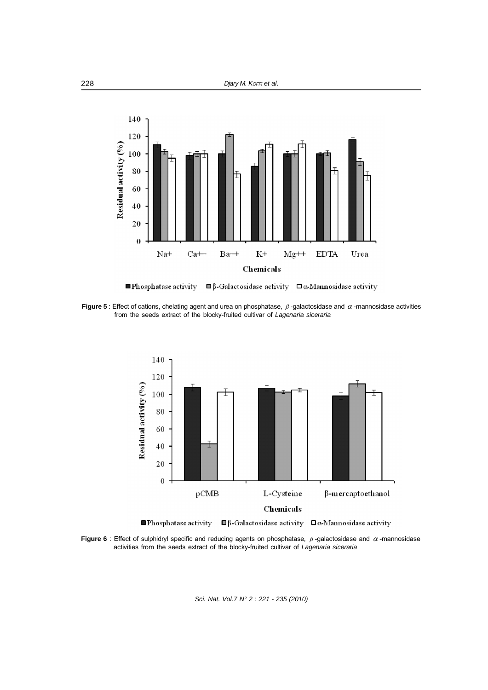

Phosphatase activity  $\Box \beta$ -Galactosidase activity  $\Box \alpha$ -Mannosidase activity

**Figure 5** : Effect of cations, chelating agent and urea on phosphatase,  $\beta$ -galactosidase and  $\alpha$ -mannosidase activities from the seeds extract of the blocky-fruited cultivar of *Lagenaria siceraria*



**Figure 6** : Effect of sulphidryl specific and reducing agents on phosphatase,  $\beta$ -galactosidase and  $\alpha$ -mannosidase activities from the seeds extract of the blocky-fruited cultivar of *Lagenaria siceraria*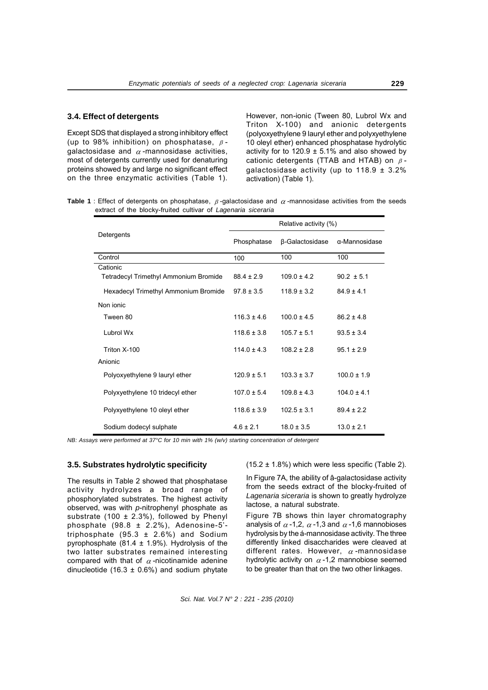Except SDS that displayed a strong inhibitory effect (up to 98% inhibition) on phosphatase,  $\beta$ galactosidase and  $\alpha$ -mannosidase activities, most of detergents currently used for denaturing proteins showed by and large no significant effect on the three enzymatic activities (Table 1). However, non-ionic (Tween 80, Lubrol Wx and Triton X-100) and anionic detergents (polyoxyethylene 9 lauryl ether and polyxyethylene 10 oleyl ether) enhanced phosphatase hydrolytic activity for to  $120.9 \pm 5.1\%$  and also showed by cationic detergents (TTAB and HTAB) on  $\beta$ galactosidase activity (up to  $118.9 \pm 3.2\%$ activation) (Table 1).

**Table 1** : Effect of detergents on phosphatase,  $\beta$ -galactosidase and  $\alpha$ -mannosidase activities from the seeds extract of the blocky-fruited cultivar of *Lagenaria siceraria*

| Detergents                                   | Relative activity (%) |                 |                       |
|----------------------------------------------|-----------------------|-----------------|-----------------------|
|                                              | Phosphatase           | β-Galactosidase | $\alpha$ -Mannosidase |
| Control                                      | 100                   | 100             | 100                   |
| Cationic                                     |                       |                 |                       |
| <b>Tetradecyl Trimethyl Ammonium Bromide</b> | $88.4 \pm 2.9$        | $109.0 \pm 4.2$ | $90.2 \pm 5.1$        |
| Hexadecyl Trimethyl Ammonium Bromide         | $97.8 \pm 3.5$        | $118.9 \pm 3.2$ | $84.9 \pm 4.1$        |
| Non ionic                                    |                       |                 |                       |
| Tween 80                                     | $116.3 + 46$          | $1000+45$       | $862 + 48$            |
| Lubrol Wx                                    | $118.6 \pm 3.8$       | $105.7 \pm 5.1$ | $93.5 \pm 3.4$        |
| Triton X-100                                 | $1140 + 43$           | $1082 + 28$     | $951 + 29$            |
| Anionic                                      |                       |                 |                       |
| Polyoxyethylene 9 lauryl ether               | $120.9 + 5.1$         | $103.3 + 3.7$   | $1000+19$             |
| Polyxyethylene 10 tridecyl ether             | $107.0 \pm 5.4$       | $1098 + 43$     | $104.0 \pm 4.1$       |
| Polyxyethylene 10 oleyl ether                | $118.6 \pm 3.9$       | $102.5 \pm 3.1$ | $89.4 \pm 2.2$        |
| Sodium dodecyl sulphate                      | $4.6 \pm 2.1$         | $18.0 \pm 3.5$  | $13.0 \pm 2.1$        |

*NB: Assays were performed at 37°C for 10 min with 1% (w/v) starting concentration of detergent*

#### **3.5. Substrates hydrolytic specificity**

The results in Table 2 showed that phosphatase activity hydrolyzes a broad range of phosphorylated substrates. The highest activity observed, was with *p*-nitrophenyl phosphate as substrate (100  $\pm$  2.3%), followed by Phenyl phosphate  $(98.8 \pm 2.2\%)$ , Adenosine-5'triphosphate  $(95.3 \pm 2.6%)$  and Sodium pyrophosphate (81.4  $\pm$  1.9%). Hydrolysis of the two latter substrates remained interesting compared with that of  $\alpha$ -nicotinamide adenine dinucleotide (16.3  $\pm$  0.6%) and sodium phytate  $(15.2 \pm 1.8\%)$  which were less specific (Table 2).

In Figure 7A, the ability of â-galactosidase activity from the seeds extract of the blocky-fruited of *Lagenaria siceraria* is shown to greatly hydrolyze lactose, a natural substrate.

Figure 7B shows thin layer chromatography analysis of  $\alpha$ -1,2,  $\alpha$ -1,3 and  $\alpha$ -1,6 mannobioses hydrolysis by the á-mannosidase activity. The three differently linked disaccharides were cleaved at different rates. However,  $\alpha$ -mannosidase hydrolytic activity on  $\alpha$ -1,2 mannobiose seemed to be greater than that on the two other linkages.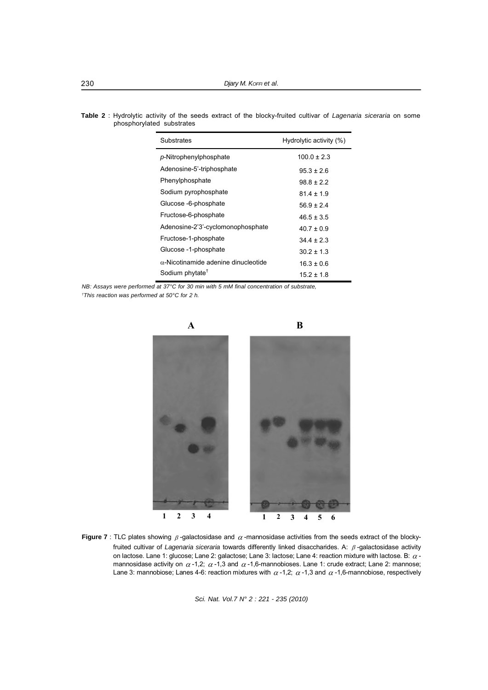**Table 2** : Hydrolytic activity of the seeds extract of the blocky-fruited cultivar of *Lagenaria siceraria* on some phosphorylated substrates

| Substrates                                  | Hydrolytic activity (%) |  |
|---------------------------------------------|-------------------------|--|
| p-Nitrophenylphosphate                      | $100.0 \pm 2.3$         |  |
| Adenosine-5'-triphosphate                   | $95.3 \pm 2.6$          |  |
| Phenylphosphate                             | 988+22                  |  |
| Sodium pyrophosphate                        | $814 + 19$              |  |
| Glucose -6-phosphate                        | $56.9 \pm 2.4$          |  |
| Fructose-6-phosphate                        | $46.5 \pm 3.5$          |  |
| Adenosine-2'3'-cyclomonophosphate           | $40.7 \pm 0.9$          |  |
| Fructose-1-phosphate                        | $344 + 23$              |  |
| Glucose -1-phosphate                        | $30.2 \pm 1.3$          |  |
| $\alpha$ -Nicotinamide adenine dinucleotide | $16.3 \pm 0.6$          |  |
| Sodium phytate <sup>†</sup>                 | $15.2 \pm 1.8$          |  |

*NB: Assays were performed at 37°C for 30 min with 5 mM final concentration of substrate, † This reaction was performed at 50°C for 2 h.*



**Figure 7** : TLC plates showing  $\beta$ -galactosidase and  $\alpha$ -mannosidase activities from the seeds extract of the blockyfruited cultivar of *Lagenaria siceraria* towards differently linked disaccharides. A:  $\beta$ -galactosidase activity on lactose. Lane 1: glucose; Lane 2: galactose; Lane 3: lactose; Lane 4: reaction mixture with lactose. B:  $\alpha$  mannosidase activity on  $\alpha$ -1,2;  $\alpha$ -1,3 and  $\alpha$ -1,6-mannobioses. Lane 1: crude extract; Lane 2: mannose; Lane 3: mannobiose; Lanes 4-6: reaction mixtures with  $\alpha$  -1,2;  $\alpha$  -1,3 and  $\alpha$  -1,6-mannobiose, respectively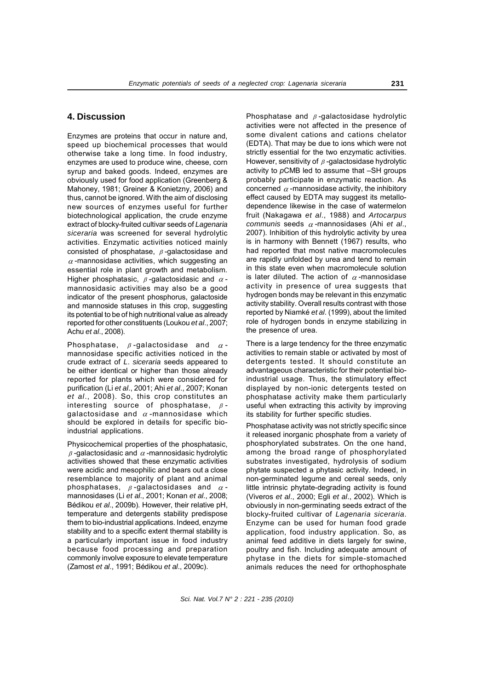# **4. Discussion**

Enzymes are proteins that occur in nature and, speed up biochemical processes that would otherwise take a long time. In food industry, enzymes are used to produce wine, cheese, corn syrup and baked goods. Indeed, enzymes are obviously used for food application (Greenberg & Mahoney, 1981; Greiner & Konietzny, 2006) and thus, cannot be ignored. With the aim of disclosing new sources of enzymes useful for further biotechnological application, the crude enzyme extract of blocky-fruited cultivar seeds of *Lagenaria siceraria* was screened for several hydrolytic activities. Enzymatic activities noticed mainly consisted of phosphatase,  $\beta$ -galactosidase and  $\alpha$ -mannosidase activities, which suggesting an essential role in plant growth and metabolism. Higher phosphatasic,  $\beta$ -galactosidasic and  $\alpha$ mannosidasic activities may also be a good indicator of the present phosphorus, galactoside and mannoside statuses in this crop, suggesting its potential to be of high nutritional value as already reported for other constituents (Loukou *et al*., 2007; Achu *et al*., 2008).

Phosphatase,  $\beta$ -galactosidase and  $\alpha$ mannosidase specific activities noticed in the crude extract of *L*. *siceraria* seeds appeared to be either identical or higher than those already reported for plants which were considered for purification (Li *et al*., 2001; Ahi *et al*., 2007; Konan *et al*., 2008). So, this crop constitutes an interesting source of phosphatase,  $\beta$ galactosidase and  $\alpha$ -mannosidase which should be explored in details for specific bioindustrial applications.

Physicochemical properties of the phosphatasic,  $\beta$ -galactosidasic and  $\alpha$ -mannosidasic hydrolytic activities showed that these enzymatic activities were acidic and mesophilic and bears out a close resemblance to majority of plant and animal phosphatases,  $\beta$ -galactosidases and  $\alpha$ mannosidases (Li *et al*., 2001; Konan *et al*., 2008; Bédikou *et al*., 2009b). However, their relative pH, temperature and detergents stability predispose them to bio-industrial applications. Indeed, enzyme stability and to a specific extent thermal stability is a particularly important issue in food industry because food processing and preparation commonly involve exposure to elevate temperature (Zamost *et al*., 1991; Bédikou *et al*., 2009c).

Phosphatase and  $\beta$ -galactosidase hydrolytic activities were not affected in the presence of some divalent cations and cations chelator (EDTA). That may be due to ions which were not strictly essential for the two enzymatic activities. However, sensitivity of  $\beta$ -galactosidase hydrolytic activity to *p*CMB led to assume that –SH groups probably participate in enzymatic reaction. As concerned  $\alpha$ -mannosidase activity, the inhibitory effect caused by EDTA may suggest its metallodependence likewise in the case of watermelon fruit (Nakagawa *et al*., 1988) and *Artocarpus communis* seeds  $\alpha$ -mannosidases (Ahi *et al.*, 2007). Inhibition of this hydrolytic activity by urea is in harmony with Bennett (1967) results, who had reported that most native macromolecules are rapidly unfolded by urea and tend to remain in this state even when macromolecule solution is later diluted. The action of  $\alpha$ -mannosidase activity in presence of urea suggests that hydrogen bonds may be relevant in this enzymatic activity stability. Overall results contrast with those reported by Niamké *et al*. (1999), about the limited role of hydrogen bonds in enzyme stabilizing in the presence of urea.

There is a large tendency for the three enzymatic activities to remain stable or activated by most of detergents tested. It should constitute an advantageous characteristic for their potential bioindustrial usage. Thus, the stimulatory effect displayed by non-ionic detergents tested on phosphatase activity make them particularly useful when extracting this activity by improving its stability for further specific studies.

Phosphatase activity was not strictly specific since it released inorganic phosphate from a variety of phosphorylated substrates. On the one hand, among the broad range of phosphorylated substrates investigated, hydrolysis of sodium phytate suspected a phytasic activity. Indeed, in non-germinated legume and cereal seeds, only little intrinsic phytate-degrading activity is found (Viveros *et al*., 2000; Egli *et al*., 2002). Which is obviously in non-germinating seeds extract of the blocky-fruited cultivar of *Lagenaria siceraria*. Enzyme can be used for human food grade application, food industry application. So, as animal feed additive in diets largely for swine, poultry and fish. Including adequate amount of phytase in the diets for simple-stomached animals reduces the need for orthophosphate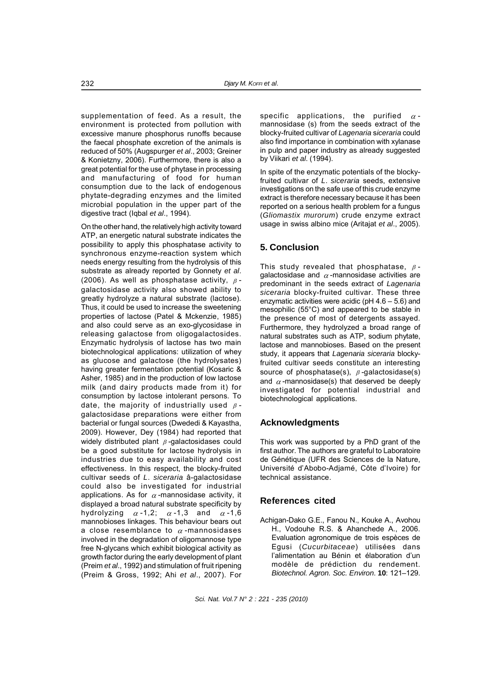supplementation of feed. As a result, the environment is protected from pollution with excessive manure phosphorus runoffs because the faecal phosphate excretion of the animals is reduced of 50% (Augspurger *et al*., 2003; Greiner & Konietzny, 2006). Furthermore, there is also a great potential for the use of phytase in processing and manufacturing of food for human consumption due to the lack of endogenous phytate-degrading enzymes and the limited microbial population in the upper part of the digestive tract (Iqbal *et al*., 1994).

On the other hand, the relatively high activity toward ATP, an energetic natural substrate indicates the possibility to apply this phosphatase activity to synchronous enzyme-reaction system which needs energy resulting from the hydrolysis of this substrate as already reported by Gonnety *et al*. (2006). As well as phosphatase activity,  $\beta$ galactosidase activity also showed ability to greatly hydrolyze a natural substrate (lactose). Thus, it could be used to increase the sweetening properties of lactose (Patel & Mckenzie, 1985) and also could serve as an exo-glycosidase in releasing galactose from oligogalactosides. Enzymatic hydrolysis of lactose has two main biotechnological applications: utilization of whey as glucose and galactose (the hydrolysates) having greater fermentation potential (Kosaric & Asher, 1985) and in the production of low lactose milk (and dairy products made from it) for consumption by lactose intolerant persons. To date, the majority of industrially used  $\beta$ galactosidase preparations were either from bacterial or fungal sources (Dwededi & Kayastha, 2009). However, Dey (1984) had reported that widely distributed plant  $\beta$ -galactosidases could be a good substitute for lactose hydrolysis in industries due to easy availability and cost effectiveness. In this respect, the blocky-fruited cultivar seeds of *L*. *siceraria* â-galactosidase could also be investigated for industrial applications. As for  $\alpha$ -mannosidase activity, it displayed a broad natural substrate specificity by hydrolyzing  $\alpha$ -1,2;  $\alpha$ -1,3 and  $\alpha$ -1,6 mannobioses linkages. This behaviour bears out a close resemblance to  $\alpha$ -mannosidases involved in the degradation of oligomannose type free N-glycans which exhibit biological activity as growth factor during the early development of plant (Preim *et al*., 1992) and stimulation of fruit ripening (Preim & Gross, 1992; Ahi *et al*., 2007). For

specific applications, the purified  $\alpha$ mannosidase (s) from the seeds extract of the blocky-fruited cultivar of *Lagenaria* s*iceraria* could also find importance in combination with xylanase in pulp and paper industry as already suggested by Viikari *et al*. (1994).

In spite of the enzymatic potentials of the blockyfruited cultivar of *L*. *siceraria* seeds, extensive investigations on the safe use of this crude enzyme extract is therefore necessary because it has been reported on a serious health problem for a fungus (*Gliomastix murorum*) crude enzyme extract usage in swiss albino mice (Aritajat *et al*., 2005).

# **5. Conclusion**

This study revealed that phosphatase,  $\beta$ galactosidase and  $\alpha$ -mannosidase activities are predominant in the seeds extract of *Lagenaria siceraria* blocky-fruited cultivar. These three enzymatic activities were acidic (pH 4.6 – 5.6) and mesophilic (55°C) and appeared to be stable in the presence of most of detergents assayed. Furthermore, they hydrolyzed a broad range of natural substrates such as ATP, sodium phytate, lactose and mannobioses. Based on the present study, it appears that *Lagenaria siceraria* blockyfruited cultivar seeds constitute an interesting source of phosphatase(s),  $\beta$ -galactosidase(s) and  $\alpha$ -mannosidase(s) that deserved be deeply investigated for potential industrial and biotechnological applications.

# **Acknowledgments**

This work was supported by a PhD grant of the first author. The authors are grateful to Laboratoire de Génétique (UFR des Sciences de la Nature, Université d'Abobo-Adjamé, Côte d'Ivoire) for technical assistance.

# **References cited**

Achigan-Dako G.E., Fanou N., Kouke A., Avohou H., Vodouhe R.S. & Ahanchede A., 2006. Evaluation agronomique de trois espèces de Egusi (*Cucurbitaceae*) utilisées dans l'alimentation au Bénin et élaboration d'un modèle de prédiction du rendement. *Biotechnol. Agron. Soc. Environ*. **10**: 121–129.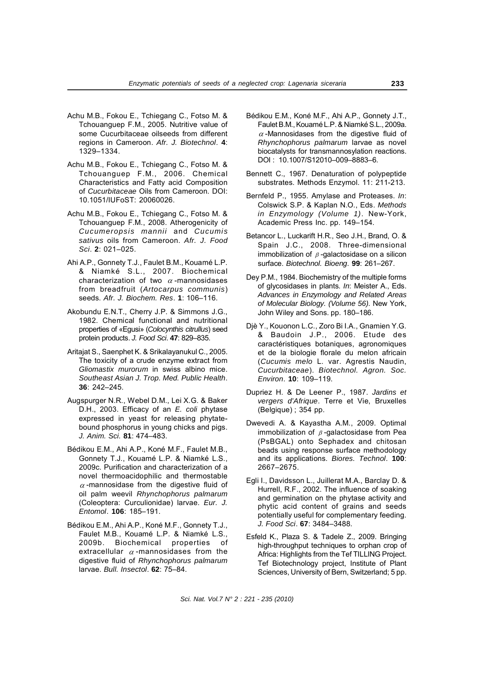- Achu M.B., Fokou E., Tchiegang C., Fotso M. & Tchouanguep F.M., 2005. Nutritive value of some Cucurbitaceae oilseeds from different regions in Cameroon. *Afr. J. Biotechnol*. **4**: 1329–1334.
- Achu M.B., Fokou E., Tchiegang C., Fotso M. & Tchouanguep F.M., 2006. Chemical Characteristics and Fatty acid Composition of *Cucurbitaceae* Oils from Cameroon. DOI: 10.1051/IUFoST: 20060026.
- Achu M.B., Fokou E., Tchiegang C., Fotso M. & Tchouanguep F.M., 2008. Atherogenicity of *Cucumeropsis mannii* and *Cucumis sativus* oils from Cameroon. *Afr. J. Food Sci*. **2**: 021–025.
- Ahi A.P., Gonnety T.J., Faulet B.M., Kouamé L.P. & Niamké S.L., 2007. Biochemical characterization of two  $\alpha$ -mannosidases from breadfruit (*Artocarpus communis*) seeds. *Afr. J. Biochem. Res*. **1**: 106–116.
- Akobundu E.N.T., Cherry J.P. & Simmons J.G., 1982. Chemical functional and nutritional properties of «Egusi» (*Colocynthis citrullus*) seed protein products. *J. Food Sci*. **47**: 829–835.
- Aritajat S., Saenphet K. & Srikalayanukul C., 2005. The toxicity of a crude enzyme extract from *Gliomastix murorum* in swiss albino mice. *Southeast Asian J. Trop. Med. Public Health*. **36**: 242–245.
- Augspurger N.R., Webel D.M., Lei X.G. & Baker D.H., 2003. Efficacy of an *E. coli* phytase expressed in yeast for releasing phytatebound phosphorus in young chicks and pigs. *J. Anim. Sci.* **81**: 474–483.
- Bédikou E.M., Ahi A.P., Koné M.F., Faulet M.B., Gonnety T.J., Kouamé L.P. & Niamké L.S., 2009c. Purification and characterization of a novel thermoacidophilic and thermostable  $\alpha$ -mannosidase from the digestive fluid of oil palm weevil *Rhynchophorus palmarum* (Coleoptera: Curculionidae) larvae. *Eur. J. Entomol*. **106**: 185–191.
- Bédikou E.M., Ahi A.P., Koné M.F., Gonnety T.J., Faulet M.B., Kouamé L.P. & Niamké L.S., 2009b. Biochemical properties of extracellular  $\alpha$ -mannosidases from the digestive fluid of *Rhynchophorus palmarum* larvae. *Bull. Insectol*. **62**: 75–84.
- Bédikou E.M., Koné M.F., Ahi A.P., Gonnety J.T., Faulet B.M., Kouamé L.P. & Niamké S.L., 2009a.  $\alpha$ -Mannosidases from the digestive fluid of *Rhynchophorus palmarum* larvae as novel biocatalysts for transmannosylation reactions. DOI : 10.1007/S12010–009–8883–6.
- Bennett C., 1967. Denaturation of polypeptide substrates. Methods Enzymol. 11: 211-213.
- Bernfeld P., 1955. Amylase and Proteases. *In*: Colswick S.P. & Kaplan N.O., Eds. *Methods in Enzymology (Volume 1)*. New-York, Academic Press Inc. pp. 149–154.
- Betancor L., Luckarift H.R., Seo J.H., Brand, O. & Spain J.C., 2008. Three-dimensional immobilization of  $\beta$ -galactosidase on a silicon surface. *Biotechnol. Bioeng*. **99**: 261–267.
- Dey P.M., 1984. Biochemistry of the multiple forms of glycosidases in plants. *In*: Meister A., Eds. *Advances in Enzymology and Related Areas of Molecular Biology. (Volume 56)*. New York, John Wiley and Sons. pp. 180–186.
- Djè Y., Kouonon L.C., Zoro Bi I.A., Gnamien Y.G. & Baudoin J.P., 2006. Etude des caractéristiques botaniques, agronomiques et de la biologie florale du melon africain (*Cucumis melo* L. var. Agrestis Naudin, *Cucurbitaceae*). *Biotechnol. Agron. Soc. Environ*. **10**: 109–119.
- Dupriez H. & De Leener P., 1987. *Jardins et vergers d'Afrique*. Terre et Vie, Bruxelles (Belgique) ; 354 pp.
- Dwevedi A. & Kayastha A.M., 2009. Optimal immobilization of  $\beta$ -galactosidase from Pea (PsBGAL) onto Sephadex and chitosan beads using response surface methodology and its applications. *Biores. Technol*. **100**: 2667–2675.
- Egli I., Davidsson L., Juillerat M.A., Barclay D. & Hurrell, R.F., 2002. The influence of soaking and germination on the phytase activity and phytic acid content of grains and seeds potentially useful for complementary feeding. *J. Food Sci*. **67**: 3484–3488.
- Esfeld K., Plaza S. & Tadele Z., 2009. Bringing high-throughput techniques to orphan crop of Africa: Highlights from the Tef TILLING Project. Tef Biotechnology project, Institute of Plant Sciences, University of Bern, Switzerland; 5 pp.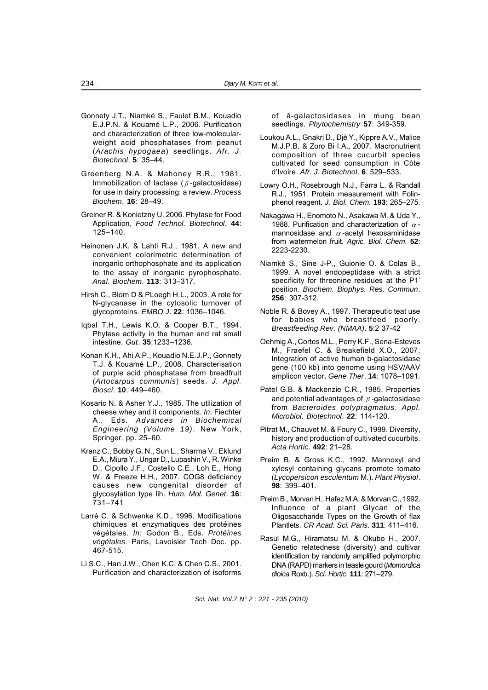- Gonnety J.T., Niamké S., Faulet B.M., Kouadio E.J.P.N. & Kouamé L.P., 2006. Purification and characterization of three low-molecularweight acid phosphatases from peanut (*Arachis hypogaea*) seedlings. *Afr. J. Biotechnol*. **5**: 35–44.
- Greenberg N.A. & Mahoney R.R., 1981. Immobilization of lactase ( $\beta$ -galactosidase) for use in dairy processing: a review. *Process Biochem*. **16**: 28–49.
- Greiner R. & Konietzny U. 2006. Phytase for Food Application, *Food Technol. Biotechnol*. **44**: 125–140.
- Heinonen J.K. & Lahti R.J., 1981. A new and convenient colorimetric determination of inorganic orthophosphate and its application to the assay of inorganic pyrophosphate. *Anal. Biochem*. **113**: 313–317.
- Hirsh C., Blom D & PLoegh H.L., 2003. A role for N-glycanase in the cytosolic turnover of glycoproteins. *EMBO J*. **22**: 1036–1046.
- Iqbal T.H., Lewis K.O. & Cooper B.T., 1994. Phytase activity in the human and rat small intestine. *Gut*. **35**:1233–1236.
- Konan K.H., Ahi A.P., Kouadio N.E.J.P., Gonnety T.J. & Kouamé L.P., 2008. Characterisation of purple acid phosphatase from breadfruit (*Artocarpus communis*) seeds. *J. Appl. Biosci*. **10**: 449–460.
- Kosaric N. & Asher Y.J., 1985. The utilization of cheese whey and it components. *In*: Fiechter A., Eds. *Advances in Biochemical Engineering (Volume 19)*. New York, Springer. pp. 25–60.
- Kranz C., Bobby G. N., Sun L., Sharma V., Eklund E.A., Miura Y., Ungar D., Lupashin V., R. Winke D., Cipollo J.F., Costello C.E., Loh E., Hong W. & Freeze H.H., 2007. COG8 deficiency causes new congenital disorder of glycosylation type Iih. *Hum. Mol. Genet*. **16**: 731–741
- Larré C. & Schwenke K.D., 1996. Modifications chimiques et enzymatiques des protéines végétales. *In*: Godon B., Eds. *Protéines végétales*. Paris, Lavoisier Tech Doc. pp. 467-515.
- Li S.C., Han J.W., Chen K.C. & Chen C.S., 2001. Purification and characterization of isoforms

of â-galactosidases in mung bean seedlings. *Phytochemistry* **57**: 349-359.

- Loukou A.L., Gnakri D., Djè Y., Kippre A.V., Malice M.J.P.B. & Zoro Bi I.A., 2007. Macronutrient composition of three cucurbit species cultivated for seed consumption in Côte d'Ivoire. *Afr. J. Biotechnol*. **6**: 529–533.
- Lowry O.H., Rosebrough N.J., Farra L. & Randall R.J., 1951. Protein measurement with Folinphenol reagent. *J. Biol. Chem*. **193**: 265–275.
- Nakagawa H., Enomoto N., Asakawa M. & Uda Y., 1988. Purification and characterization of  $\alpha$ mannosidase and  $\alpha$ -acetyl hexosaminidase from watermelon fruit. *Agric. Biol. Chem*. **52**: 2223-2230.
- Niamké S., Sine J-P., Guionie O. & Colas B., 1999. A novel endopeptidase with a strict specificity for threonine residues at the P1' position. *Biochem. Biophys. Res. Commun*. **256**: 307-312.
- Noble R. & Bovey A., 1997. Therapeutic teat use for babies who breastfeed poorly. *Breastfeeding Rev. (NMAA)*. **5**:2 37-42
- Oehmig A., Cortes M.L., Perry K.F., Sena-Esteves M., Fraefel C. & Breakefield X.O., 2007. Integration of active human b-galactosidase gene (100 kb) into genome using HSV/AAV amplicon vector. *Gene Ther*. **14**: 1078–1091.
- Patel G.B. & Mackenzie C.R., 1985. Properties and potential advantages of  $\beta$ -galactosidase from *Bacteroides polypragmatus*. *Appl. Microbiol. Biotechnol*. **22**: 114-120.
- Pitrat M., Chauvet M. & Foury C., 1999. Diversity, history and production of cultivated cucurbits. *Acta Hortic*. **492**: 21–28.
- Preim B. & Gross K.C., 1992. Mannoxyl and xylosyl containing glycans promote tomato (*Lycopersicon esculentum* M.). *Plant Physiol*. **98**: 399–401.
- Preim B., Morvan H., Hafez M.A. & Morvan C., 1992. Influence of a plant Glycan of the Oligosaccharide Types on the Growth of flax Plantlets. *CR Acad. Sci. Paris*. **311**: 411–416.
- Rasul M.G., Hiramatsu M. & Okubo H., 2007. Genetic relatedness (diversity) and cultivar identification by randomly amplified polymorphic DNA (RAPD) markers in teasle gourd (*Momordica dioica* Roxb.). *Sci. Hortic*. **111**: 271–279.